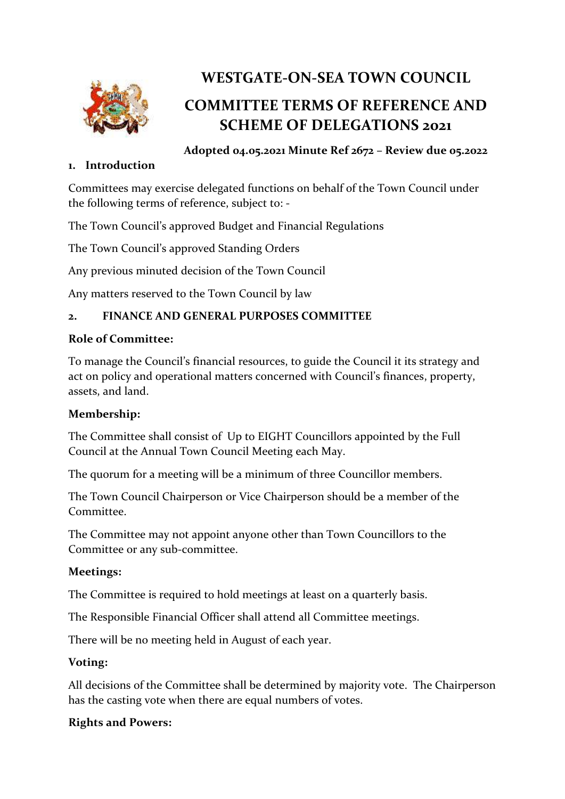

# **WESTGATE-ON-SEA TOWN COUNCIL**

# **COMMITTEE TERMS OF REFERENCE AND SCHEME OF DELEGATIONS 2021**

#### **1. Introduction**

**Adopted 04.05.2021 Minute Ref 2672 – Review due 05.2022**

Committees may exercise delegated functions on behalf of the Town Council under the following terms of reference, subject to: -

The Town Council's approved Budget and Financial Regulations

The Town Council's approved Standing Orders

Any previous minuted decision of the Town Council

Any matters reserved to the Town Council by law

#### **2. FINANCE AND GENERAL PURPOSES COMMITTEE**

#### **Role of Committee:**

To manage the Council's financial resources, to guide the Council it its strategy and act on policy and operational matters concerned with Council's finances, property, assets, and land.

#### **Membership:**

The Committee shall consist of Up to EIGHT Councillors appointed by the Full Council at the Annual Town Council Meeting each May.

The quorum for a meeting will be a minimum of three Councillor members.

The Town Council Chairperson or Vice Chairperson should be a member of the Committee.

The Committee may not appoint anyone other than Town Councillors to the Committee or any sub-committee.

#### **Meetings:**

The Committee is required to hold meetings at least on a quarterly basis.

The Responsible Financial Officer shall attend all Committee meetings.

There will be no meeting held in August of each year.

#### **Voting:**

All decisions of the Committee shall be determined by majority vote. The Chairperson has the casting vote when there are equal numbers of votes.

#### **Rights and Powers:**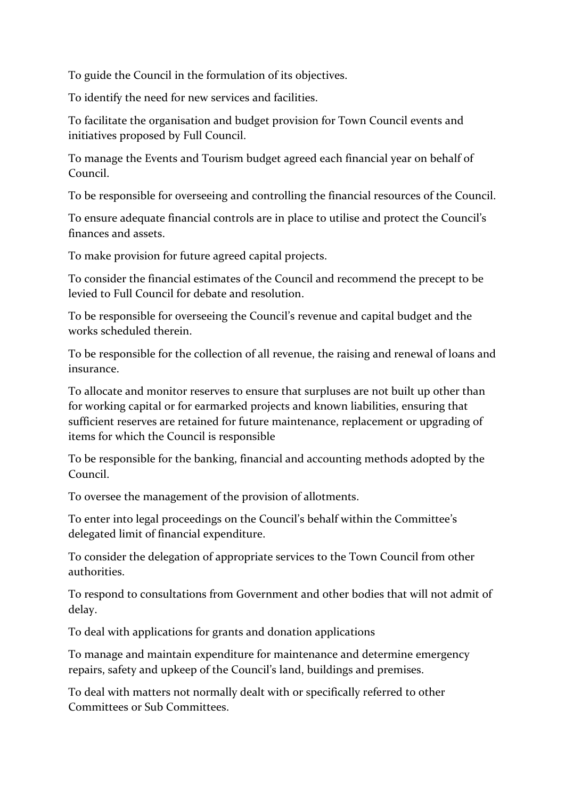To guide the Council in the formulation of its objectives.

To identify the need for new services and facilities.

To facilitate the organisation and budget provision for Town Council events and initiatives proposed by Full Council.

To manage the Events and Tourism budget agreed each financial year on behalf of Council.

To be responsible for overseeing and controlling the financial resources of the Council.

To ensure adequate financial controls are in place to utilise and protect the Council's finances and assets.

To make provision for future agreed capital projects.

To consider the financial estimates of the Council and recommend the precept to be levied to Full Council for debate and resolution.

To be responsible for overseeing the Council's revenue and capital budget and the works scheduled therein.

To be responsible for the collection of all revenue, the raising and renewal of loans and insurance.

To allocate and monitor reserves to ensure that surpluses are not built up other than for working capital or for earmarked projects and known liabilities, ensuring that sufficient reserves are retained for future maintenance, replacement or upgrading of items for which the Council is responsible

To be responsible for the banking, financial and accounting methods adopted by the Council.

To oversee the management of the provision of allotments.

To enter into legal proceedings on the Council's behalf within the Committee's delegated limit of financial expenditure.

To consider the delegation of appropriate services to the Town Council from other authorities.

To respond to consultations from Government and other bodies that will not admit of delay.

To deal with applications for grants and donation applications

To manage and maintain expenditure for maintenance and determine emergency repairs, safety and upkeep of the Council's land, buildings and premises.

To deal with matters not normally dealt with or specifically referred to other Committees or Sub Committees.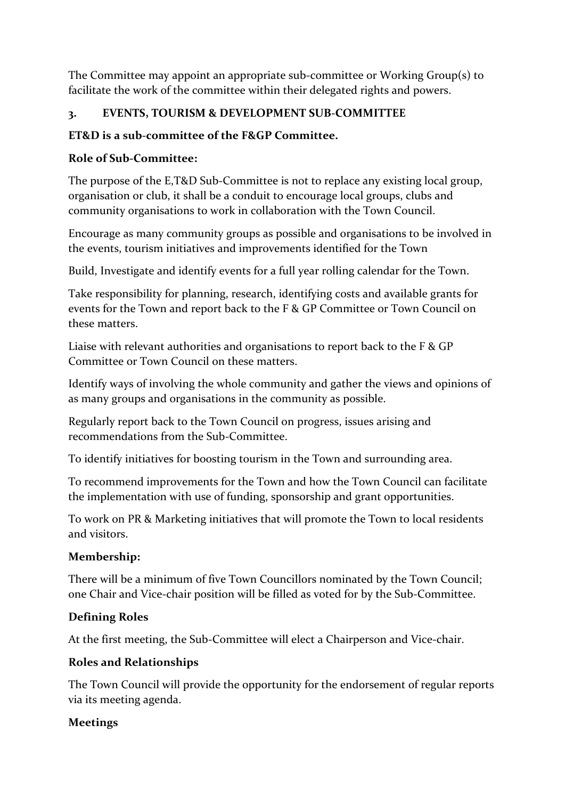The Committee may appoint an appropriate sub-committee or Working Group(s) to facilitate the work of the committee within their delegated rights and powers.

#### **3. EVENTS, TOURISM & DEVELOPMENT SUB-COMMITTEE**

# **ET&D is a sub-committee of the F&GP Committee.**

# **Role of Sub-Committee:**

The purpose of the E,T&D Sub-Committee is not to replace any existing local group, organisation or club, it shall be a conduit to encourage local groups, clubs and community organisations to work in collaboration with the Town Council.

Encourage as many community groups as possible and organisations to be involved in the events, tourism initiatives and improvements identified for the Town

Build, Investigate and identify events for a full year rolling calendar for the Town.

Take responsibility for planning, research, identifying costs and available grants for events for the Town and report back to the F & GP Committee or Town Council on these matters.

Liaise with relevant authorities and organisations to report back to the F & GP Committee or Town Council on these matters.

Identify ways of involving the whole community and gather the views and opinions of as many groups and organisations in the community as possible.

Regularly report back to the Town Council on progress, issues arising and recommendations from the Sub-Committee.

To identify initiatives for boosting tourism in the Town and surrounding area.

To recommend improvements for the Town and how the Town Council can facilitate the implementation with use of funding, sponsorship and grant opportunities.

To work on PR & Marketing initiatives that will promote the Town to local residents and visitors.

# **Membership:**

There will be a minimum of five Town Councillors nominated by the Town Council; one Chair and Vice-chair position will be filled as voted for by the Sub-Committee.

#### **Defining Roles**

At the first meeting, the Sub-Committee will elect a Chairperson and Vice-chair.

#### **Roles and Relationships**

The Town Council will provide the opportunity for the endorsement of regular reports via its meeting agenda.

#### **Meetings**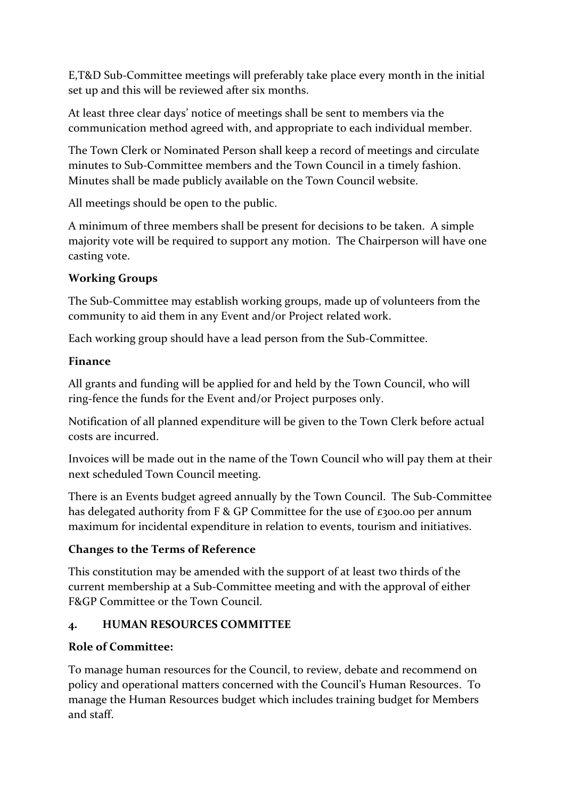E,T&D Sub-Committee meetings will preferably take place every month in the initial set up and this will be reviewed after six months.

At least three clear days' notice of meetings shall be sent to members via the communication method agreed with, and appropriate to each individual member.

The Town Clerk or Nominated Person shall keep a record of meetings and circulate minutes to Sub-Committee members and the Town Council in a timely fashion. Minutes shall be made publicly available on the Town Council website.

All meetings should be open to the public.

A minimum of three members shall be present for decisions to be taken. A simple majority vote will be required to support any motion. The Chairperson will have one casting vote.

#### **Working Groups**

The Sub-Committee may establish working groups, made up of volunteers from the community to aid them in any Event and/or Project related work.

Each working group should have a lead person from the Sub-Committee.

#### **Finance**

All grants and funding will be applied for and held by the Town Council, who will ring-fence the funds for the Event and/or Project purposes only.

Notification of all planned expenditure will be given to the Town Clerk before actual costs are incurred.

Invoices will be made out in the name of the Town Council who will pay them at their next scheduled Town Council meeting.

There is an Events budget agreed annually by the Town Council. The Sub-Committee has delegated authority from F & GP Committee for the use of £300.00 per annum maximum for incidental expenditure in relation to events, tourism and initiatives.

#### **Changes to the Terms of Reference**

This constitution may be amended with the support of at least two thirds of the current membership at a Sub-Committee meeting and with the approval of either F&GP Committee or the Town Council.

#### **4. HUMAN RESOURCES COMMITTEE**

#### **Role of Committee:**

To manage human resources for the Council, to review, debate and recommend on policy and operational matters concerned with the Council's Human Resources. To manage the Human Resources budget which includes training budget for Members and staff.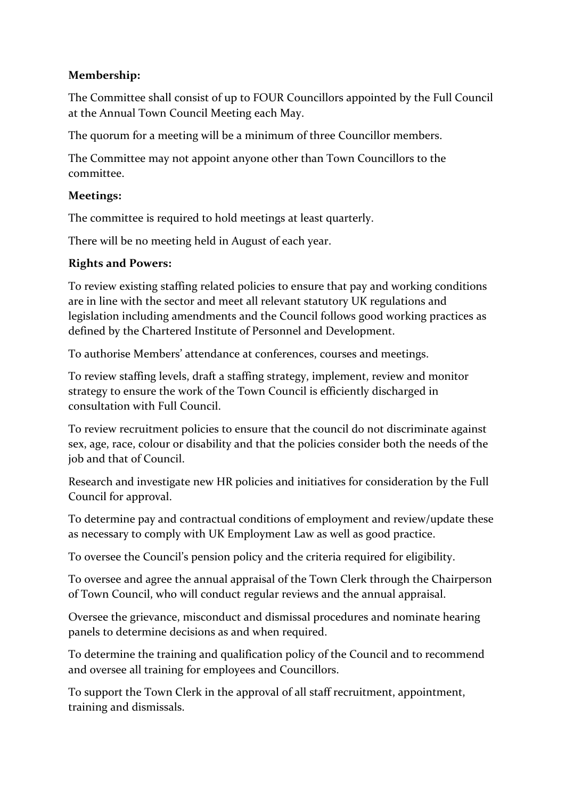#### **Membership:**

The Committee shall consist of up to FOUR Councillors appointed by the Full Council at the Annual Town Council Meeting each May.

The quorum for a meeting will be a minimum of three Councillor members.

The Committee may not appoint anyone other than Town Councillors to the committee.

#### **Meetings:**

The committee is required to hold meetings at least quarterly.

There will be no meeting held in August of each year.

#### **Rights and Powers:**

To review existing staffing related policies to ensure that pay and working conditions are in line with the sector and meet all relevant statutory UK regulations and legislation including amendments and the Council follows good working practices as defined by the Chartered Institute of Personnel and Development.

To authorise Members' attendance at conferences, courses and meetings.

To review staffing levels, draft a staffing strategy, implement, review and monitor strategy to ensure the work of the Town Council is efficiently discharged in consultation with Full Council.

To review recruitment policies to ensure that the council do not discriminate against sex, age, race, colour or disability and that the policies consider both the needs of the job and that of Council.

Research and investigate new HR policies and initiatives for consideration by the Full Council for approval.

To determine pay and contractual conditions of employment and review/update these as necessary to comply with UK Employment Law as well as good practice.

To oversee the Council's pension policy and the criteria required for eligibility.

To oversee and agree the annual appraisal of the Town Clerk through the Chairperson of Town Council, who will conduct regular reviews and the annual appraisal.

Oversee the grievance, misconduct and dismissal procedures and nominate hearing panels to determine decisions as and when required.

To determine the training and qualification policy of the Council and to recommend and oversee all training for employees and Councillors.

To support the Town Clerk in the approval of all staff recruitment, appointment, training and dismissals.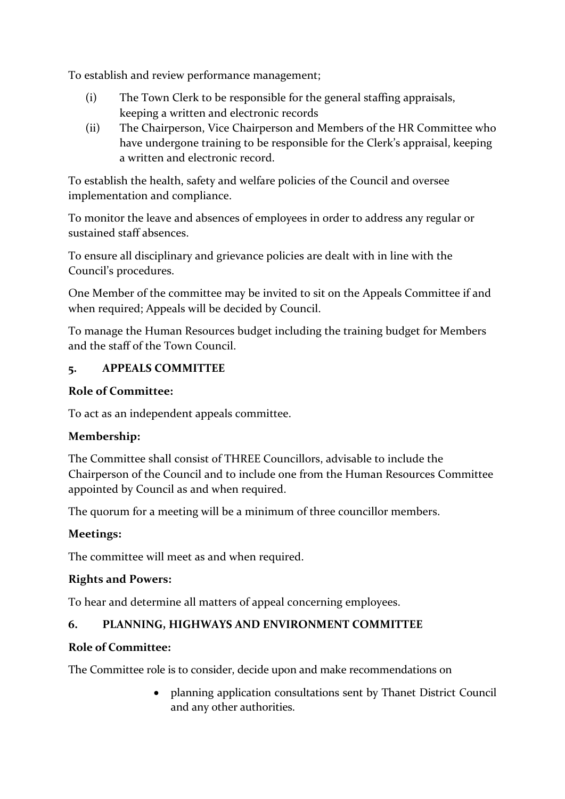To establish and review performance management;

- (i) The Town Clerk to be responsible for the general staffing appraisals, keeping a written and electronic records
- (ii) The Chairperson, Vice Chairperson and Members of the HR Committee who have undergone training to be responsible for the Clerk's appraisal, keeping a written and electronic record.

To establish the health, safety and welfare policies of the Council and oversee implementation and compliance.

To monitor the leave and absences of employees in order to address any regular or sustained staff absences.

To ensure all disciplinary and grievance policies are dealt with in line with the Council's procedures.

One Member of the committee may be invited to sit on the Appeals Committee if and when required; Appeals will be decided by Council.

To manage the Human Resources budget including the training budget for Members and the staff of the Town Council.

#### **5. APPEALS COMMITTEE**

#### **Role of Committee:**

To act as an independent appeals committee.

#### **Membership:**

The Committee shall consist of THREE Councillors, advisable to include the Chairperson of the Council and to include one from the Human Resources Committee appointed by Council as and when required.

The quorum for a meeting will be a minimum of three councillor members.

#### **Meetings:**

The committee will meet as and when required.

#### **Rights and Powers:**

To hear and determine all matters of appeal concerning employees.

#### **6. PLANNING, HIGHWAYS AND ENVIRONMENT COMMITTEE**

#### **Role of Committee:**

The Committee role is to consider, decide upon and make recommendations on

• planning application consultations sent by Thanet District Council and any other authorities.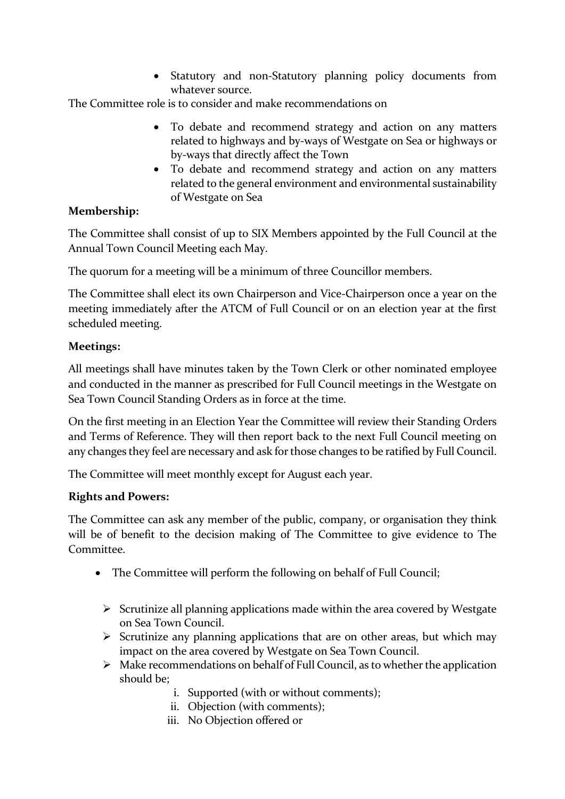• Statutory and non-Statutory planning policy documents from whatever source.

The Committee role is to consider and make recommendations on

- To debate and recommend strategy and action on any matters related to highways and by-ways of Westgate on Sea or highways or by-ways that directly affect the Town
- To debate and recommend strategy and action on any matters related to the general environment and environmental sustainability of Westgate on Sea

#### **Membership:**

The Committee shall consist of up to SIX Members appointed by the Full Council at the Annual Town Council Meeting each May.

The quorum for a meeting will be a minimum of three Councillor members.

The Committee shall elect its own Chairperson and Vice-Chairperson once a year on the meeting immediately after the ATCM of Full Council or on an election year at the first scheduled meeting.

#### **Meetings:**

All meetings shall have minutes taken by the Town Clerk or other nominated employee and conducted in the manner as prescribed for Full Council meetings in the Westgate on Sea Town Council Standing Orders as in force at the time.

On the first meeting in an Election Year the Committee will review their Standing Orders and Terms of Reference. They will then report back to the next Full Council meeting on any changes they feel are necessary and ask for those changes to be ratified by Full Council.

The Committee will meet monthly except for August each year.

#### **Rights and Powers:**

The Committee can ask any member of the public, company, or organisation they think will be of benefit to the decision making of The Committee to give evidence to The Committee.

- The Committee will perform the following on behalf of Full Council;
	- $\triangleright$  Scrutinize all planning applications made within the area covered by Westgate on Sea Town Council.
	- $\triangleright$  Scrutinize any planning applications that are on other areas, but which may impact on the area covered by Westgate on Sea Town Council.
	- $\triangleright$  Make recommendations on behalf of Full Council, as to whether the application should be;
		- i. Supported (with or without comments);
		- ii. Objection (with comments);
		- iii. No Objection offered or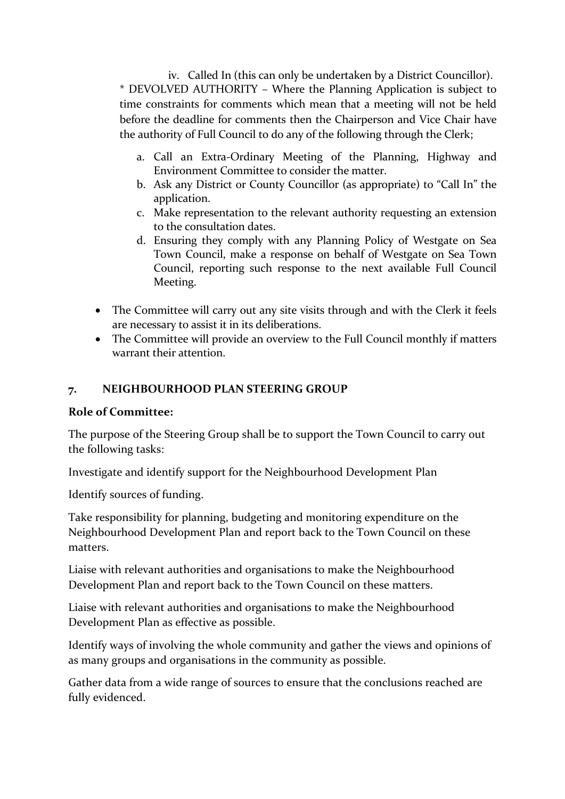iv. Called In (this can only be undertaken by a District Councillor). \* DEVOLVED AUTHORITY – Where the Planning Application is subject to time constraints for comments which mean that a meeting will not be held before the deadline for comments then the Chairperson and Vice Chair have the authority of Full Council to do any of the following through the Clerk;

- a. Call an Extra-Ordinary Meeting of the Planning, Highway and Environment Committee to consider the matter.
- b. Ask any District or County Councillor (as appropriate) to "Call In" the application.
- c. Make representation to the relevant authority requesting an extension to the consultation dates.
- d. Ensuring they comply with any Planning Policy of Westgate on Sea Town Council, make a response on behalf of Westgate on Sea Town Council, reporting such response to the next available Full Council Meeting.
- The Committee will carry out any site visits through and with the Clerk it feels are necessary to assist it in its deliberations.
- The Committee will provide an overview to the Full Council monthly if matters warrant their attention.

#### **7. NEIGHBOURHOOD PLAN STEERING GROUP**

#### **Role of Committee:**

The purpose of the Steering Group shall be to support the Town Council to carry out the following tasks:

Investigate and identify support for the Neighbourhood Development Plan

Identify sources of funding.

Take responsibility for planning, budgeting and monitoring expenditure on the Neighbourhood Development Plan and report back to the Town Council on these matters.

Liaise with relevant authorities and organisations to make the Neighbourhood Development Plan and report back to the Town Council on these matters.

Liaise with relevant authorities and organisations to make the Neighbourhood Development Plan as effective as possible.

Identify ways of involving the whole community and gather the views and opinions of as many groups and organisations in the community as possible.

Gather data from a wide range of sources to ensure that the conclusions reached are fully evidenced.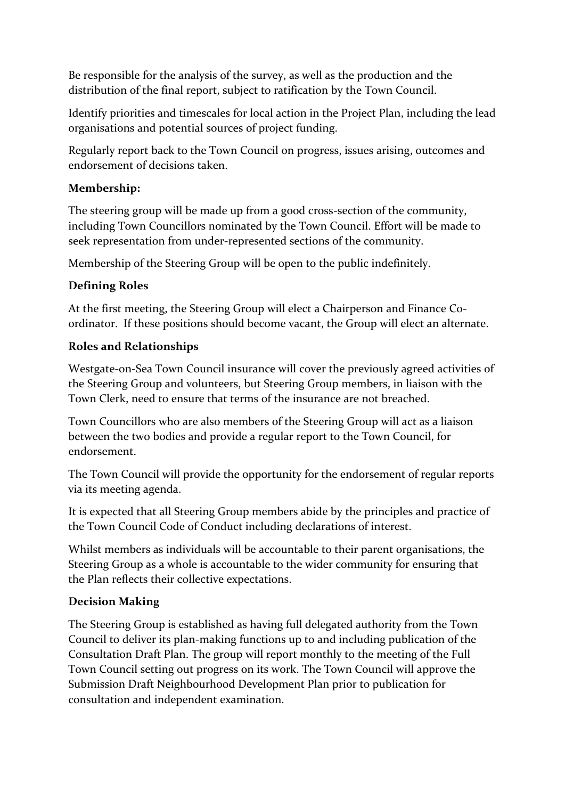Be responsible for the analysis of the survey, as well as the production and the distribution of the final report, subject to ratification by the Town Council.

Identify priorities and timescales for local action in the Project Plan, including the lead organisations and potential sources of project funding.

Regularly report back to the Town Council on progress, issues arising, outcomes and endorsement of decisions taken.

#### **Membership:**

The steering group will be made up from a good cross-section of the community, including Town Councillors nominated by the Town Council. Effort will be made to seek representation from under-represented sections of the community.

Membership of the Steering Group will be open to the public indefinitely.

#### **Defining Roles**

At the first meeting, the Steering Group will elect a Chairperson and Finance Coordinator. If these positions should become vacant, the Group will elect an alternate.

#### **Roles and Relationships**

Westgate-on-Sea Town Council insurance will cover the previously agreed activities of the Steering Group and volunteers, but Steering Group members, in liaison with the Town Clerk, need to ensure that terms of the insurance are not breached.

Town Councillors who are also members of the Steering Group will act as a liaison between the two bodies and provide a regular report to the Town Council, for endorsement.

The Town Council will provide the opportunity for the endorsement of regular reports via its meeting agenda.

It is expected that all Steering Group members abide by the principles and practice of the Town Council Code of Conduct including declarations of interest.

Whilst members as individuals will be accountable to their parent organisations, the Steering Group as a whole is accountable to the wider community for ensuring that the Plan reflects their collective expectations.

#### **Decision Making**

The Steering Group is established as having full delegated authority from the Town Council to deliver its plan-making functions up to and including publication of the Consultation Draft Plan. The group will report monthly to the meeting of the Full Town Council setting out progress on its work. The Town Council will approve the Submission Draft Neighbourhood Development Plan prior to publication for consultation and independent examination.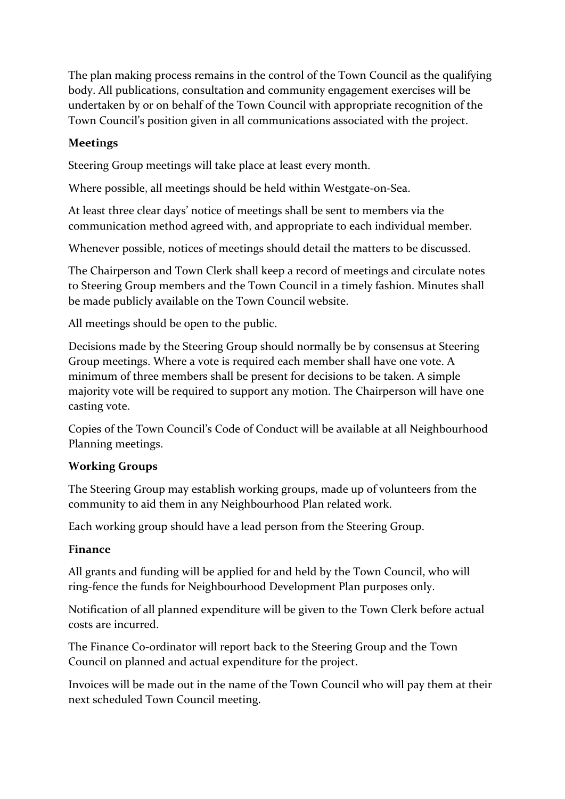The plan making process remains in the control of the Town Council as the qualifying body. All publications, consultation and community engagement exercises will be undertaken by or on behalf of the Town Council with appropriate recognition of the Town Council's position given in all communications associated with the project.

# **Meetings**

Steering Group meetings will take place at least every month.

Where possible, all meetings should be held within Westgate-on-Sea.

At least three clear days' notice of meetings shall be sent to members via the communication method agreed with, and appropriate to each individual member.

Whenever possible, notices of meetings should detail the matters to be discussed.

The Chairperson and Town Clerk shall keep a record of meetings and circulate notes to Steering Group members and the Town Council in a timely fashion. Minutes shall be made publicly available on the Town Council website.

All meetings should be open to the public.

Decisions made by the Steering Group should normally be by consensus at Steering Group meetings. Where a vote is required each member shall have one vote. A minimum of three members shall be present for decisions to be taken. A simple majority vote will be required to support any motion. The Chairperson will have one casting vote.

Copies of the Town Council's Code of Conduct will be available at all Neighbourhood Planning meetings.

#### **Working Groups**

The Steering Group may establish working groups, made up of volunteers from the community to aid them in any Neighbourhood Plan related work.

Each working group should have a lead person from the Steering Group.

#### **Finance**

All grants and funding will be applied for and held by the Town Council, who will ring-fence the funds for Neighbourhood Development Plan purposes only.

Notification of all planned expenditure will be given to the Town Clerk before actual costs are incurred.

The Finance Co-ordinator will report back to the Steering Group and the Town Council on planned and actual expenditure for the project.

Invoices will be made out in the name of the Town Council who will pay them at their next scheduled Town Council meeting.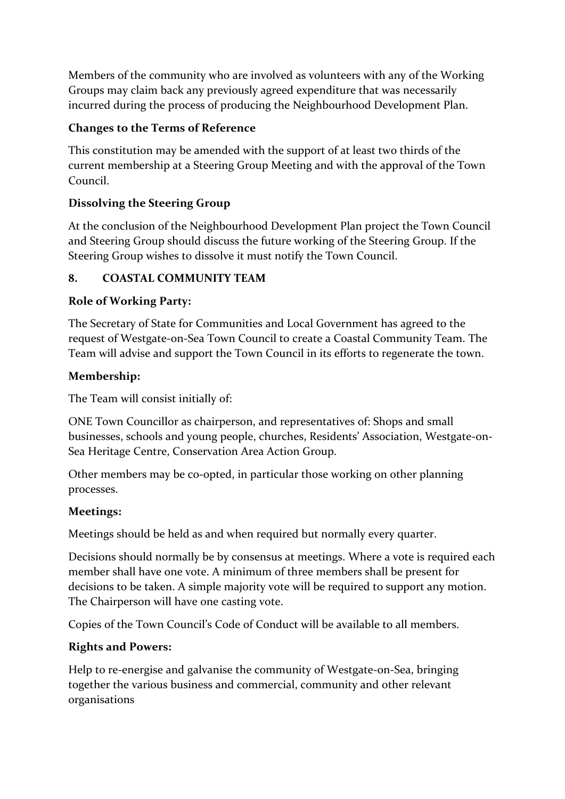Members of the community who are involved as volunteers with any of the Working Groups may claim back any previously agreed expenditure that was necessarily incurred during the process of producing the Neighbourhood Development Plan.

#### **Changes to the Terms of Reference**

This constitution may be amended with the support of at least two thirds of the current membership at a Steering Group Meeting and with the approval of the Town Council.

# **Dissolving the Steering Group**

At the conclusion of the Neighbourhood Development Plan project the Town Council and Steering Group should discuss the future working of the Steering Group. If the Steering Group wishes to dissolve it must notify the Town Council.

#### **8. COASTAL COMMUNITY TEAM**

#### **Role of Working Party:**

The Secretary of State for Communities and Local Government has agreed to the request of Westgate-on-Sea Town Council to create a Coastal Community Team. The Team will advise and support the Town Council in its efforts to regenerate the town.

#### **Membership:**

The Team will consist initially of:

ONE Town Councillor as chairperson, and representatives of: Shops and small businesses, schools and young people, churches, Residents' Association, Westgate-on-Sea Heritage Centre, Conservation Area Action Group.

Other members may be co-opted, in particular those working on other planning processes.

#### **Meetings:**

Meetings should be held as and when required but normally every quarter.

Decisions should normally be by consensus at meetings. Where a vote is required each member shall have one vote. A minimum of three members shall be present for decisions to be taken. A simple majority vote will be required to support any motion. The Chairperson will have one casting vote.

Copies of the Town Council's Code of Conduct will be available to all members.

#### **Rights and Powers:**

Help to re-energise and galvanise the community of Westgate-on-Sea, bringing together the various business and commercial, community and other relevant organisations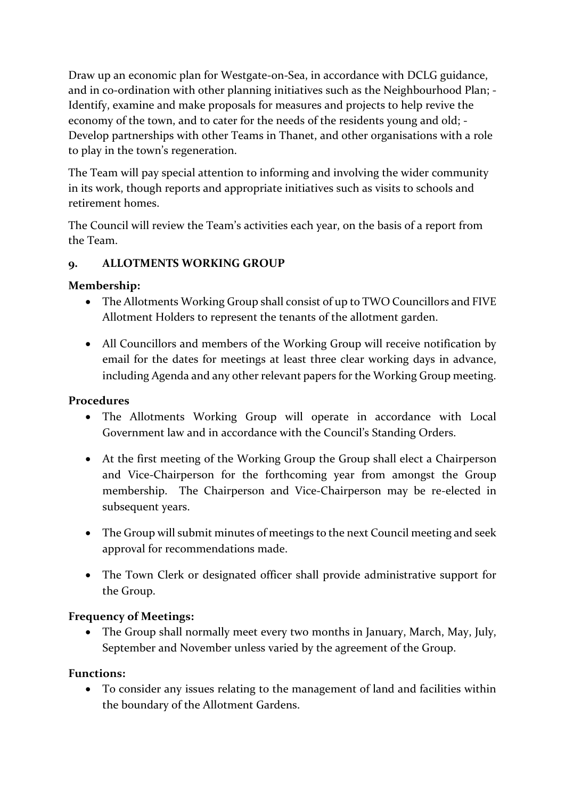Draw up an economic plan for Westgate-on-Sea, in accordance with DCLG guidance, and in co-ordination with other planning initiatives such as the Neighbourhood Plan; - Identify, examine and make proposals for measures and projects to help revive the economy of the town, and to cater for the needs of the residents young and old; - Develop partnerships with other Teams in Thanet, and other organisations with a role to play in the town's regeneration.

The Team will pay special attention to informing and involving the wider community in its work, though reports and appropriate initiatives such as visits to schools and retirement homes.

The Council will review the Team's activities each year, on the basis of a report from the Team.

#### **9. ALLOTMENTS WORKING GROUP**

#### **Membership:**

- The Allotments Working Group shall consist of up to TWO Councillors and FIVE Allotment Holders to represent the tenants of the allotment garden.
- All Councillors and members of the Working Group will receive notification by email for the dates for meetings at least three clear working days in advance, including Agenda and any other relevant papers for the Working Group meeting.

#### **Procedures**

- The Allotments Working Group will operate in accordance with Local Government law and in accordance with the Council's Standing Orders.
- At the first meeting of the Working Group the Group shall elect a Chairperson and Vice-Chairperson for the forthcoming year from amongst the Group membership. The Chairperson and Vice-Chairperson may be re-elected in subsequent years.
- The Group will submit minutes of meetings to the next Council meeting and seek approval for recommendations made.
- The Town Clerk or designated officer shall provide administrative support for the Group.

#### **Frequency of Meetings:**

• The Group shall normally meet every two months in January, March, May, July, September and November unless varied by the agreement of the Group.

#### **Functions:**

• To consider any issues relating to the management of land and facilities within the boundary of the Allotment Gardens.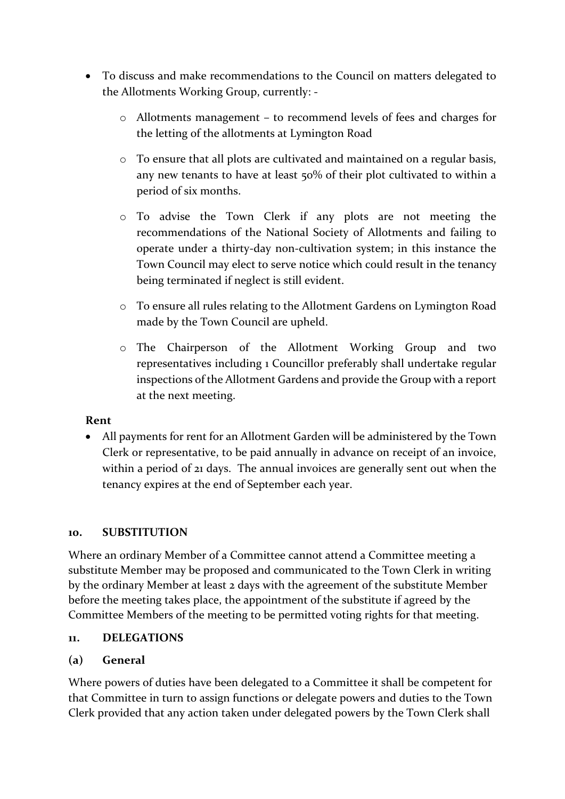- To discuss and make recommendations to the Council on matters delegated to the Allotments Working Group, currently:
	- o Allotments management to recommend levels of fees and charges for the letting of the allotments at Lymington Road
	- o To ensure that all plots are cultivated and maintained on a regular basis, any new tenants to have at least 50% of their plot cultivated to within a period of six months.
	- o To advise the Town Clerk if any plots are not meeting the recommendations of the National Society of Allotments and failing to operate under a thirty-day non-cultivation system; in this instance the Town Council may elect to serve notice which could result in the tenancy being terminated if neglect is still evident.
	- o To ensure all rules relating to the Allotment Gardens on Lymington Road made by the Town Council are upheld.
	- o The Chairperson of the Allotment Working Group and two representatives including 1 Councillor preferably shall undertake regular inspections of the Allotment Gardens and provide the Group with a report at the next meeting.

#### **Rent**

• All payments for rent for an Allotment Garden will be administered by the Town Clerk or representative, to be paid annually in advance on receipt of an invoice, within a period of 21 days. The annual invoices are generally sent out when the tenancy expires at the end of September each year.

#### **10. SUBSTITUTION**

Where an ordinary Member of a Committee cannot attend a Committee meeting a substitute Member may be proposed and communicated to the Town Clerk in writing by the ordinary Member at least 2 days with the agreement of the substitute Member before the meeting takes place, the appointment of the substitute if agreed by the Committee Members of the meeting to be permitted voting rights for that meeting.

#### **11. DELEGATIONS**

#### **(a) General**

Where powers of duties have been delegated to a Committee it shall be competent for that Committee in turn to assign functions or delegate powers and duties to the Town Clerk provided that any action taken under delegated powers by the Town Clerk shall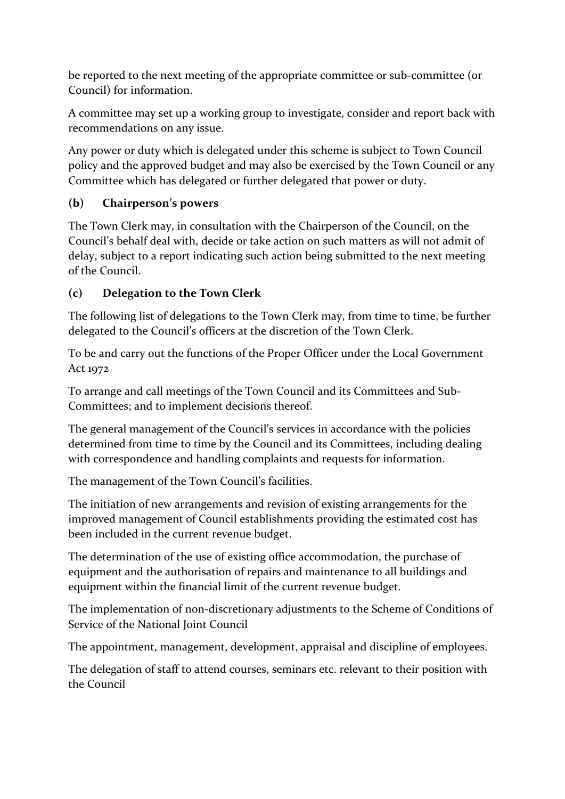be reported to the next meeting of the appropriate committee or sub-committee (or Council) for information.

A committee may set up a working group to investigate, consider and report back with recommendations on any issue.

Any power or duty which is delegated under this scheme is subject to Town Council policy and the approved budget and may also be exercised by the Town Council or any Committee which has delegated or further delegated that power or duty.

# **(b) Chairperson's powers**

The Town Clerk may, in consultation with the Chairperson of the Council, on the Council's behalf deal with, decide or take action on such matters as will not admit of delay, subject to a report indicating such action being submitted to the next meeting of the Council.

# **(c) Delegation to the Town Clerk**

The following list of delegations to the Town Clerk may, from time to time, be further delegated to the Council's officers at the discretion of the Town Clerk.

To be and carry out the functions of the Proper Officer under the Local Government Act 1972

To arrange and call meetings of the Town Council and its Committees and Sub-Committees; and to implement decisions thereof.

The general management of the Council's services in accordance with the policies determined from time to time by the Council and its Committees, including dealing with correspondence and handling complaints and requests for information.

The management of the Town Council's facilities.

The initiation of new arrangements and revision of existing arrangements for the improved management of Council establishments providing the estimated cost has been included in the current revenue budget.

The determination of the use of existing office accommodation, the purchase of equipment and the authorisation of repairs and maintenance to all buildings and equipment within the financial limit of the current revenue budget.

The implementation of non-discretionary adjustments to the Scheme of Conditions of Service of the National Joint Council

The appointment, management, development, appraisal and discipline of employees.

The delegation of staff to attend courses, seminars etc. relevant to their position with the Council